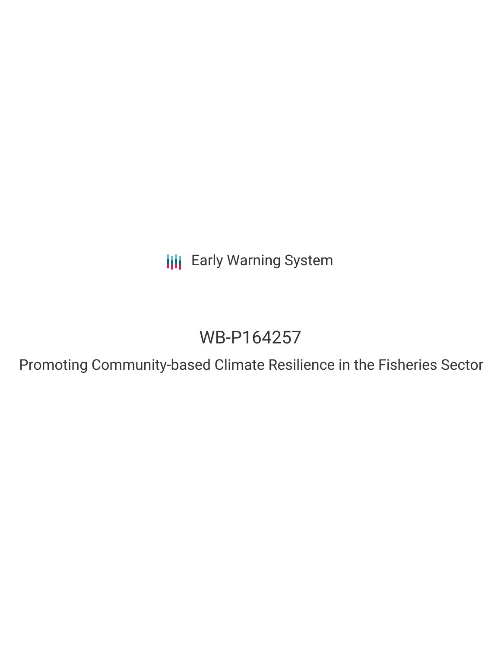**III** Early Warning System

# WB-P164257

Promoting Community-based Climate Resilience in the Fisheries Sector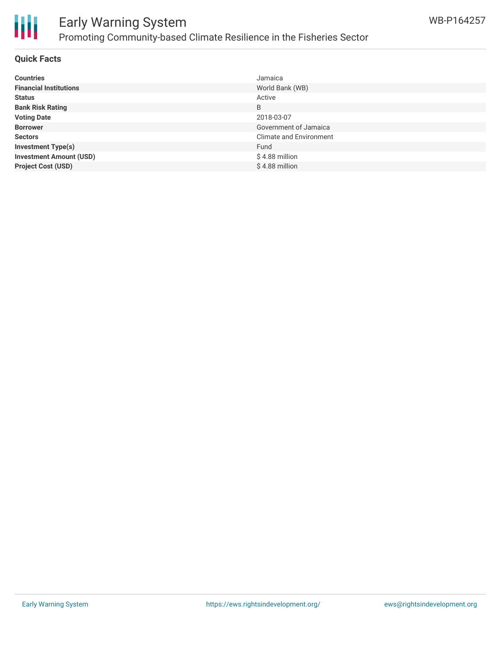

## Early Warning System Promoting Community-based Climate Resilience in the Fisheries Sector

#### **Quick Facts**

| <b>Countries</b>               | Jamaica                        |
|--------------------------------|--------------------------------|
| <b>Financial Institutions</b>  | World Bank (WB)                |
| <b>Status</b>                  | Active                         |
| <b>Bank Risk Rating</b>        | B                              |
| <b>Voting Date</b>             | 2018-03-07                     |
| <b>Borrower</b>                | Government of Jamaica          |
| <b>Sectors</b>                 | <b>Climate and Environment</b> |
| <b>Investment Type(s)</b>      | Fund                           |
| <b>Investment Amount (USD)</b> | $$4.88$ million                |
| <b>Project Cost (USD)</b>      | $$4.88$ million                |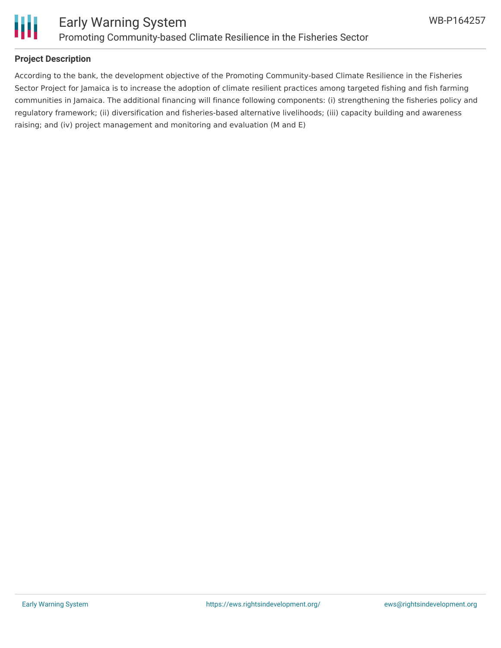

### **Project Description**

According to the bank, the development objective of the Promoting Community-based Climate Resilience in the Fisheries Sector Project for Jamaica is to increase the adoption of climate resilient practices among targeted fishing and fish farming communities in Jamaica. The additional financing will finance following components: (i) strengthening the fisheries policy and regulatory framework; (ii) diversification and fisheries-based alternative livelihoods; (iii) capacity building and awareness raising; and (iv) project management and monitoring and evaluation (M and E)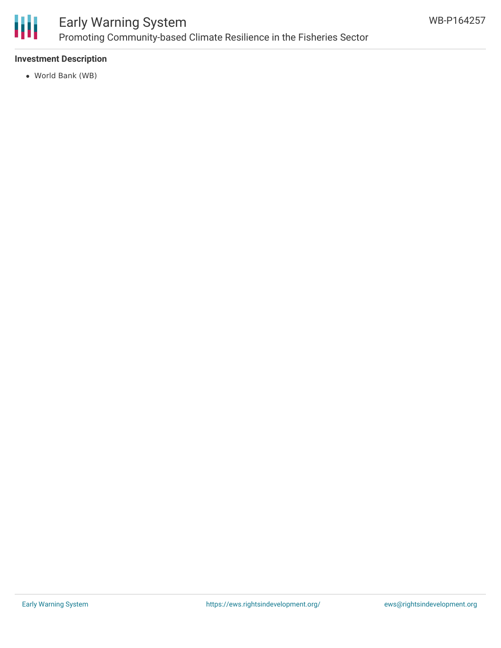

### Early Warning System Promoting Community-based Climate Resilience in the Fisheries Sector

### **Investment Description**

World Bank (WB)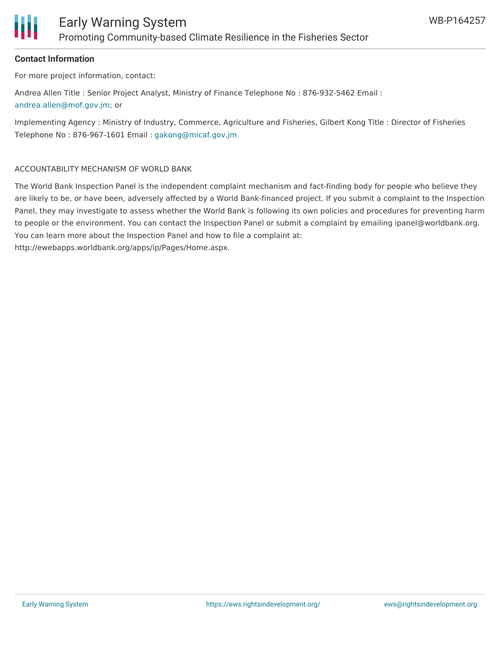

#### **Contact Information**

For more project information, contact:

Andrea Allen Title : Senior Project Analyst, Ministry of Finance Telephone No : 876-932-5462 Email : [andrea.allen@mof.gov.jm;](mailto:andrea.allen@mof.gov.jm;) or

Implementing Agency : Ministry of Industry, Commerce, Agriculture and Fisheries, Gilbert Kong Title : Director of Fisheries Telephone No : 876-967-1601 Email : [gakong@micaf.gov.jm](mailto:gakong@micaf.gov.jm)

#### ACCOUNTABILITY MECHANISM OF WORLD BANK

The World Bank Inspection Panel is the independent complaint mechanism and fact-finding body for people who believe they are likely to be, or have been, adversely affected by a World Bank-financed project. If you submit a complaint to the Inspection Panel, they may investigate to assess whether the World Bank is following its own policies and procedures for preventing harm to people or the environment. You can contact the Inspection Panel or submit a complaint by emailing ipanel@worldbank.org. You can learn more about the Inspection Panel and how to file a complaint at: http://ewebapps.worldbank.org/apps/ip/Pages/Home.aspx.